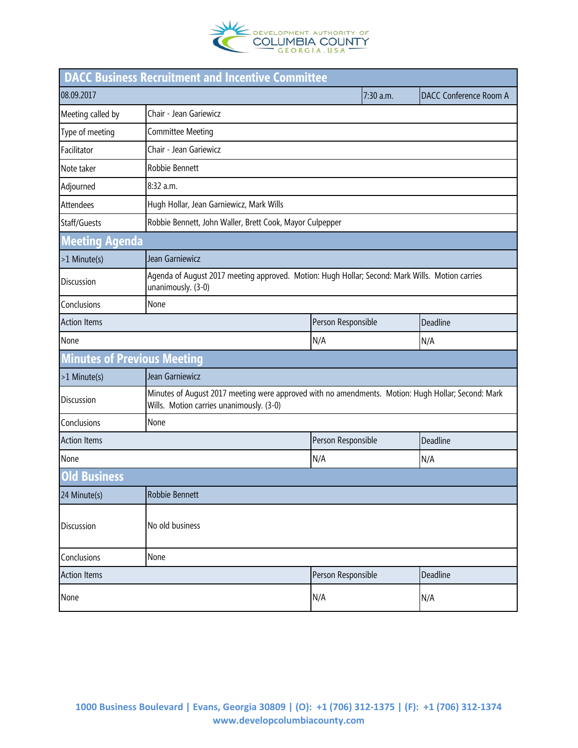

|                                    | <b>DACC Business Recruitment and Incentive Committee</b>                                                                                       |                    |                               |          |  |
|------------------------------------|------------------------------------------------------------------------------------------------------------------------------------------------|--------------------|-------------------------------|----------|--|
| 08.09.2017                         |                                                                                                                                                | 7:30 a.m.          | <b>DACC Conference Room A</b> |          |  |
| Meeting called by                  | Chair - Jean Gariewicz                                                                                                                         |                    |                               |          |  |
| Type of meeting                    | <b>Committee Meeting</b>                                                                                                                       |                    |                               |          |  |
| Facilitator                        | Chair - Jean Gariewicz                                                                                                                         |                    |                               |          |  |
| Note taker                         | Robbie Bennett                                                                                                                                 |                    |                               |          |  |
| Adjourned                          | 8:32 a.m.                                                                                                                                      |                    |                               |          |  |
| <b>Attendees</b>                   | Hugh Hollar, Jean Garniewicz, Mark Wills                                                                                                       |                    |                               |          |  |
| Staff/Guests                       | Robbie Bennett, John Waller, Brett Cook, Mayor Culpepper                                                                                       |                    |                               |          |  |
| <b>Meeting Agenda</b>              |                                                                                                                                                |                    |                               |          |  |
| >1 Minute(s)                       | Jean Garniewicz                                                                                                                                |                    |                               |          |  |
| Discussion                         | Agenda of August 2017 meeting approved. Motion: Hugh Hollar; Second: Mark Wills. Motion carries<br>unanimously. (3-0)                          |                    |                               |          |  |
| Conclusions                        | None                                                                                                                                           |                    |                               |          |  |
| <b>Action Items</b>                |                                                                                                                                                | Person Responsible |                               | Deadline |  |
| None                               |                                                                                                                                                | N/A                |                               | N/A      |  |
| <b>Minutes of Previous Meeting</b> |                                                                                                                                                |                    |                               |          |  |
| >1 Minute(s)                       | Jean Garniewicz                                                                                                                                |                    |                               |          |  |
| <b>Discussion</b>                  | Minutes of August 2017 meeting were approved with no amendments. Motion: Hugh Hollar; Second: Mark<br>Wills. Motion carries unanimously. (3-0) |                    |                               |          |  |
| Conclusions                        | None                                                                                                                                           |                    |                               |          |  |
| <b>Action Items</b>                |                                                                                                                                                | Person Responsible |                               | Deadline |  |
| None                               |                                                                                                                                                | N/A                |                               | N/A      |  |
| <b>Old Business</b>                |                                                                                                                                                |                    |                               |          |  |
| 24 Minute(s)                       | Robbie Bennett                                                                                                                                 |                    |                               |          |  |
| <b>Discussion</b>                  | No old business                                                                                                                                |                    |                               |          |  |
| Conclusions                        | None                                                                                                                                           |                    |                               |          |  |
| <b>Action Items</b>                |                                                                                                                                                | Person Responsible |                               | Deadline |  |
| None                               |                                                                                                                                                | N/A                |                               | N/A      |  |